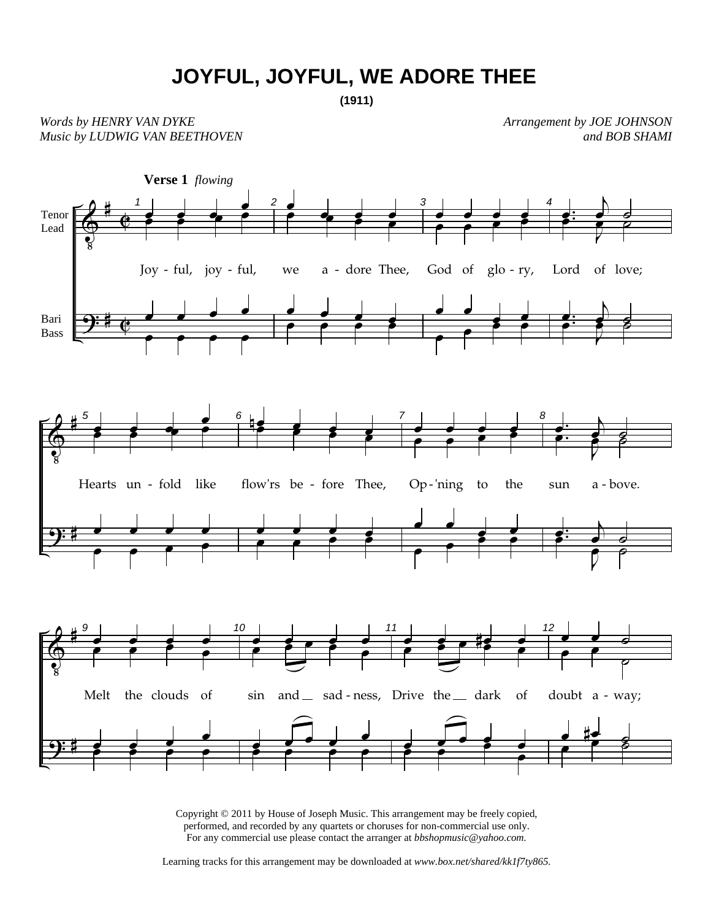## **JOYFUL, JOYFUL, WE ADORE THEE**

*Words by HENRY VAN DYKE Music by LUDWIG VAN BEETHOVEN*  *Arrangement by JOE JOHNSON and BOB SHAMI*



Copyright © 2011 by House of Joseph Music. This arrangement may be freely copied, performed, and recorded by any quartets or choruses for non-commercial use only. For any commercial use please contact the arranger at *bbshopmusic@yahoo.com.*

Learning tracks for this arrangement may be downloaded at *www.box.net/shared/kk1f7ty865.*

**<sup>(1911)</sup>**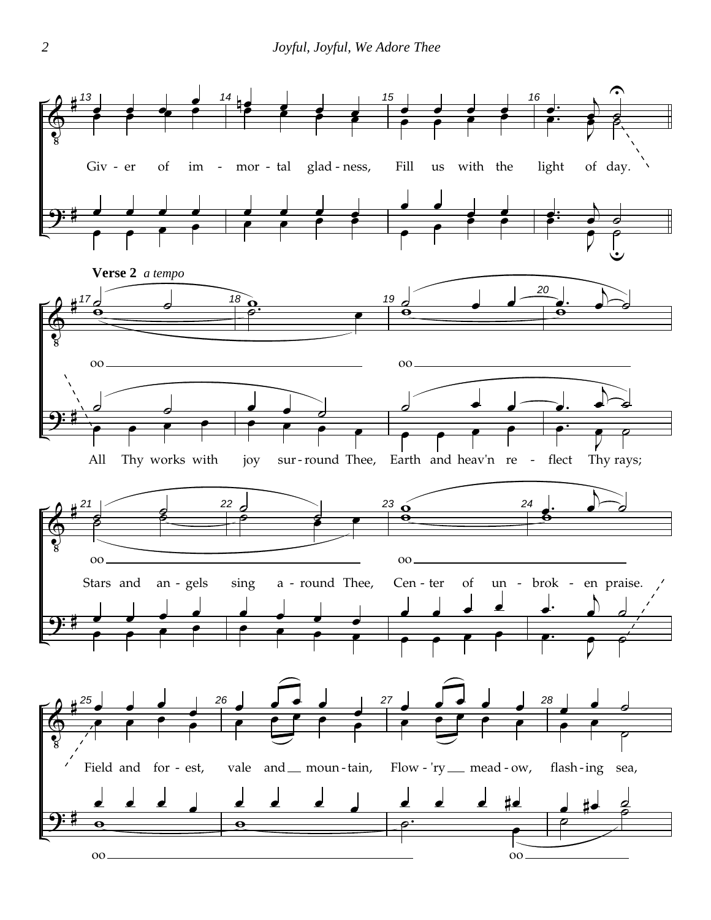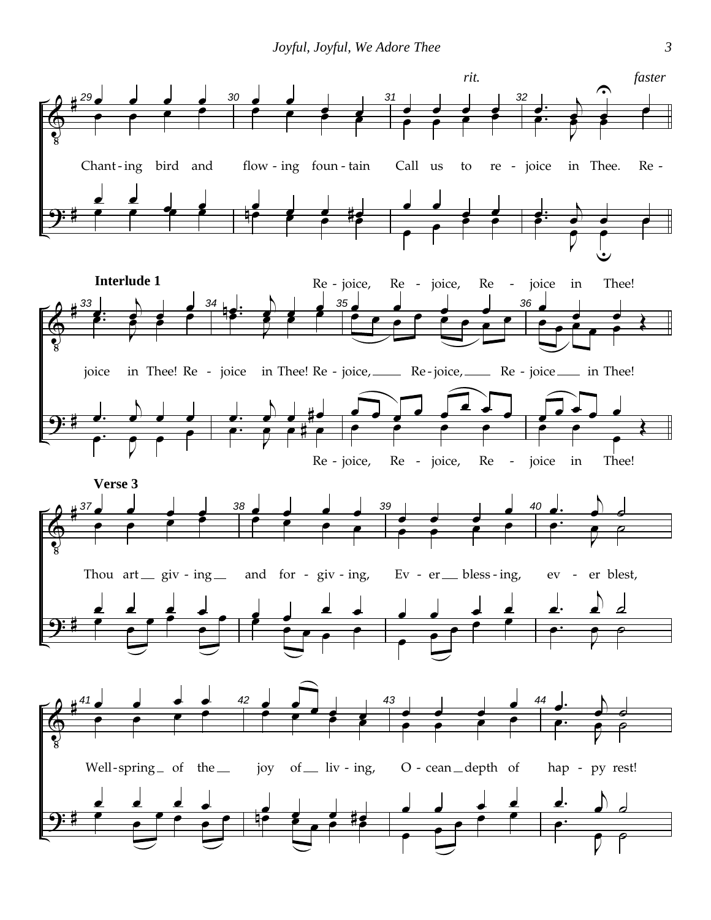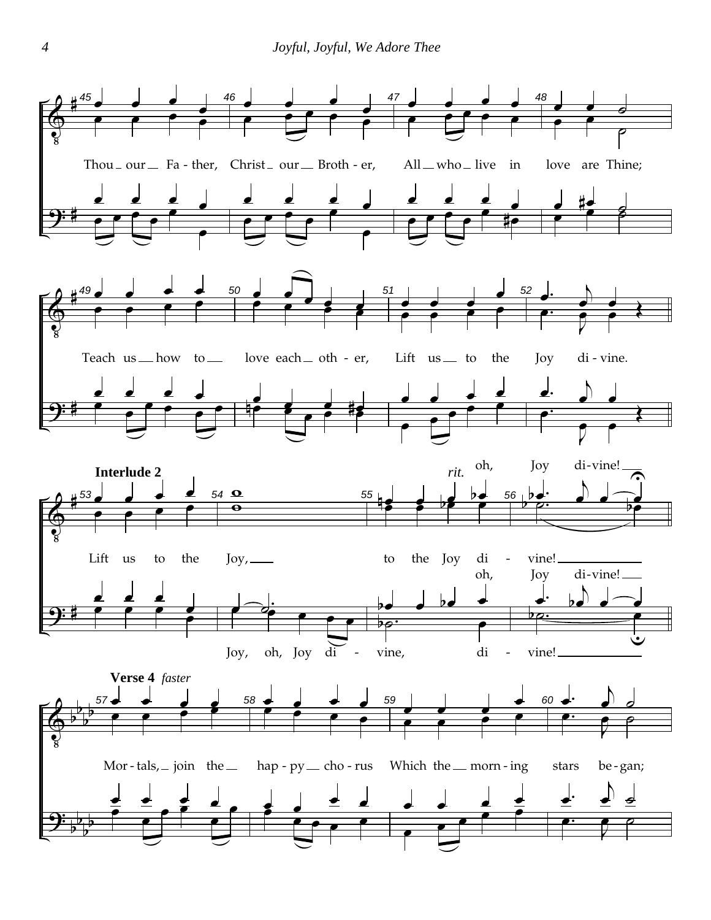